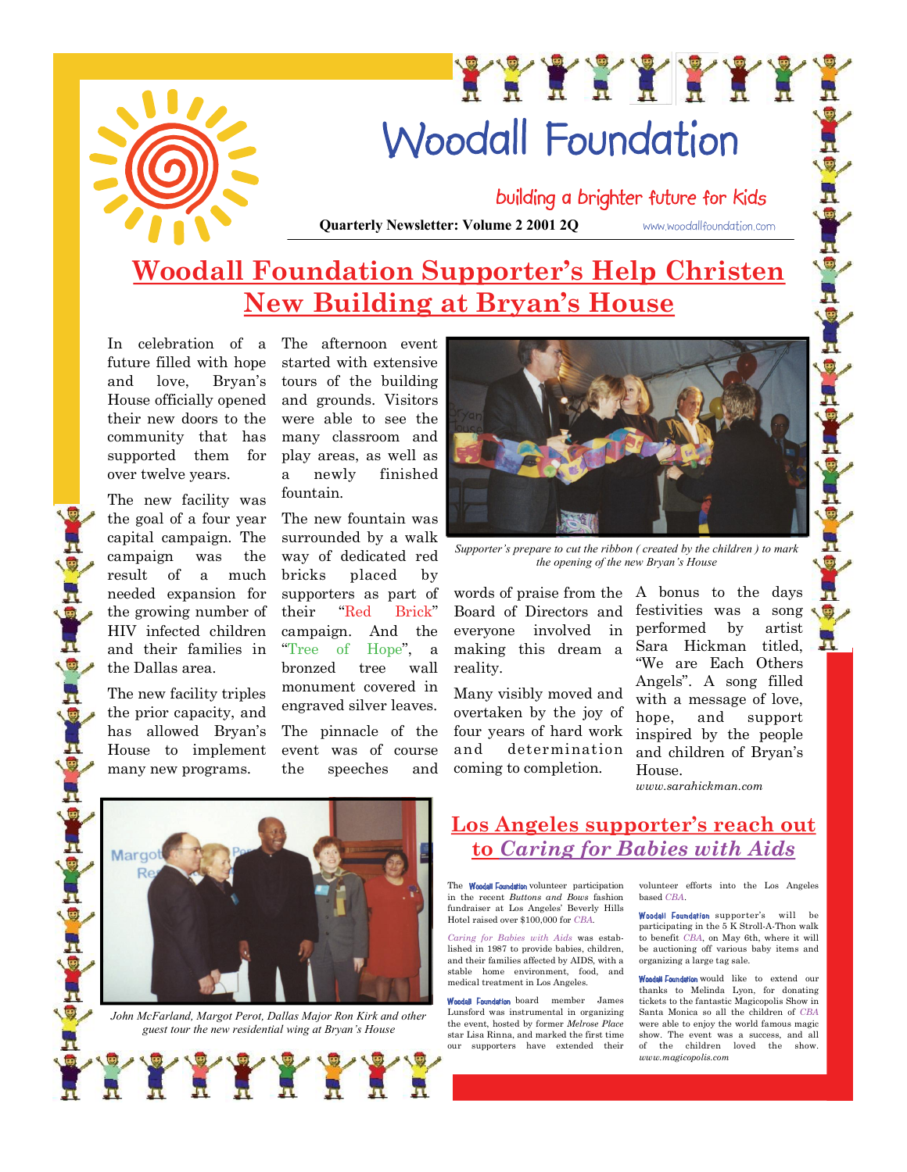

# XXXXXXXXX **Woodall Foundation**

building a brighter future for kids

**Quarterly Newsletter: Volume 2 2001 2Q** WWW.Woodallfoundation.com

# Woodall Foundation<br>
Building a brighter future for kids<br>
Woodall Foundation Supporter's Help Christen<br>
New Building at Bryan's House **New Building at Bryan·s House**

In celebration of a future filled with hope and love, Bryan's House officially opened their new doors to the community that has supported them for over twelve years.

The new facility was the goal of a four year capital campaign. The campaign was the result of a much needed expansion for the growing number of HIV infected children and their families in the Dallas area.

The new facility triples the prior capacity, and has allowed Bryan's House to implement many new programs.

o Horionio Horio

Q.

The afternoon event started with extensive tours of the building and grounds. Visitors were able to see the many classroom and play areas, as well as a newly finished fountain.

The new fountain was surrounded by a walk way of dedicated red placed by supporters as part of "Red Brick" campaign. And the Hope", a bronzed tree wall monument covered in engraved silver leaves.

The pinnacle of the event was of course the speeches and



*Supporter¶s prepare to cut the ribbon ( created by the children ) to mark the opening of the new Bryan's House* 

words of praise from the A bonus to the days Board of Directors and everyone involved in making this dream a reality.

Many visibly moved and overtaken by the joy of  $\frac{1}{\text{hope}}$ four years of hard work determination coming to completion.

festivities was a song performed by artist Sara Hickman titled, ´We are Each Others Angels". A song filled with a message of love, and support inspired by the people and children of Bryan·s House.

g

*www.sarahickman.com*



*John McFarland, Margot Perot, Dallas Major Ron Kirk and other guest tour the new residential wing at Bryan's House* 

#### Los Angeles supporter's reach out **to** *Caring for Babies with Aids*

The Woodall Foundation volunteer participation in the recent *Buttons and Bows* fashion fundraiser at Los Angeles' Beverly Hills Hotel raised over \$100,000 for *CBA*.

*Caring for Babies with Aids* was estaband their families affected by AIDS, with a stable home environment, food, and medical treatment in Los Angeles.

Woodall Foundation board member James Lunsford was instrumental in organizing the event, hosted by former *Melrose Place* our supporters have extended their

volunteer efforts into the Los Angeles based *CBA*.

Woodall Foundation supporter's will be participating in the 5 K Stroll-A-Thon walk to benefit *CBA*, on May 6th, where it will be auctioning off various baby items and organizing a large tag sale.<br>Woodsil Eugodstion would like to extend our

thanks to Melinda Lyon, for donating<br>tickets to the fantastic Magicopolis Show in Santa Monica so all the children of *CBA* were able to enjoy the world famous magic show. The event was a success, and all of the children loved the show. *www.magicopolis.com*